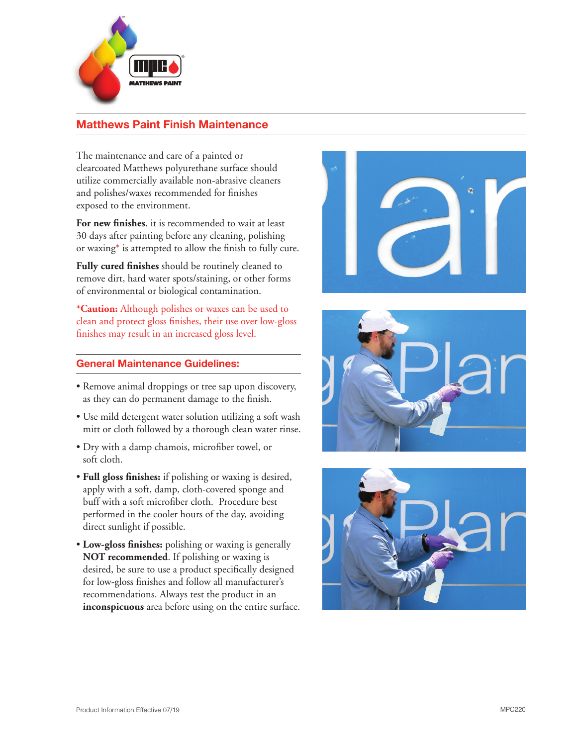

# **Matthews Paint Finish Maintenance**

The maintenance and care of a painted or clearcoated Matthews polyurethane surface should utilize commercially available non-abrasive cleaners and polishes/waxes recommended for finishes exposed to the environment.

**For new finishes**, it is recommended to wait at least 30 days after painting before any cleaning, polishing or waxing \* is attempted to allow the finish to fully cure.

**Fully cured finishes** should be routinely cleaned to remove dirt, hard water spots/staining, or other forms of environmental or biological contamination.

**\*Caution:** Although polishes or waxes can be used to clean and protect gloss finishes, their use over low-gloss finishes may result in an increased gloss level.

### **General Maintenance Guidelines:**

- Remove animal droppings or tree sap upon discovery, as they can do permanent damage to the finish.
- Use mild detergent water solution utilizing a soft wash mitt or cloth followed by a thorough clean water rinse.
- Dry with a damp chamois, microfiber towel, or soft cloth.
- **Full gloss finishes:** if polishing or waxing is desired, apply with a soft, damp, cloth-covered sponge and buff with a soft microfiber cloth. Procedure best performed in the cooler hours of the day, avoiding direct sunlight if possible.
- **Low-gloss finishes:** polishing or waxing is generally **NOT recommended**. If polishing or waxing is desired, be sure to use a product specifically designed for low-gloss finishes and follow all manufacturer's recommendations. Always test the product in an **inconspicuous** area before using on the entire surface.